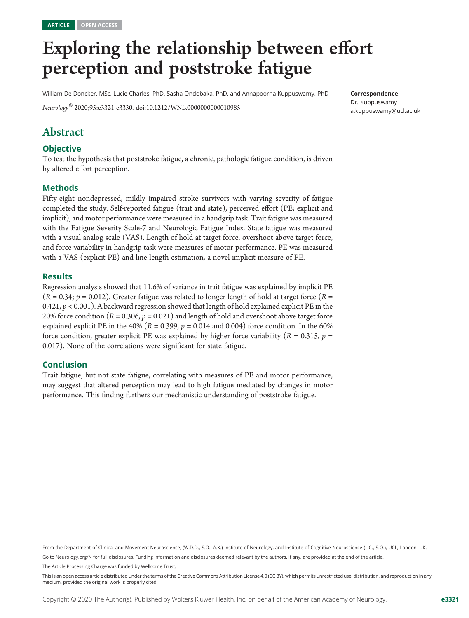# Exploring the relationship between effort perception and poststroke fatigue

William De Doncker, MSc, Lucie Charles, PhD, Sasha Ondobaka, PhD, and Annapoorna Kuppuswamy, PhD

Correspondence

Dr. Kuppuswamy [a.kuppuswamy@ucl.ac.uk](mailto:a.kuppuswamy@ucl.ac.uk)

Neurology® 2020;95:e3321-e3330. doi[:10.1212/WNL.0000000000010985](http://dx.doi.org/10.1212/WNL.0000000000010985)

# Abstract

#### **Objective**

To test the hypothesis that poststroke fatigue, a chronic, pathologic fatigue condition, is driven by altered effort perception.

#### Methods

Fifty-eight nondepressed, mildly impaired stroke survivors with varying severity of fatigue completed the study. Self-reported fatigue (trait and state), perceived effort (PE; explicit and implicit), and motor performance were measured in a handgrip task. Trait fatigue was measured with the Fatigue Severity Scale-7 and Neurologic Fatigue Index. State fatigue was measured with a visual analog scale (VAS). Length of hold at target force, overshoot above target force, and force variability in handgrip task were measures of motor performance. PE was measured with a VAS (explicit PE) and line length estimation, a novel implicit measure of PE.

#### **Results**

Regression analysis showed that 11.6% of variance in trait fatigue was explained by implicit PE  $(R = 0.34; p = 0.012)$ . Greater fatigue was related to longer length of hold at target force  $(R = 0.34; p = 0.012)$ . 0.421,  $p < 0.001$ ). A backward regression showed that length of hold explained explicit PE in the 20% force condition  $(R = 0.306, p = 0.021)$  and length of hold and overshoot above target force explained explicit PE in the 40% ( $R = 0.399$ ,  $p = 0.014$  and 0.004) force condition. In the 60% force condition, greater explicit PE was explained by higher force variability ( $R = 0.315$ ,  $p =$ 0.017). None of the correlations were significant for state fatigue.

#### Conclusion

Trait fatigue, but not state fatigue, correlating with measures of PE and motor performance, may suggest that altered perception may lead to high fatigue mediated by changes in motor performance. This finding furthers our mechanistic understanding of poststroke fatigue.

Go to [Neurology.org/N](https://n.neurology.org/lookup/doi/10.1212/WNL.0000000000010985) for full disclosures. Funding information and disclosures deemed relevant by the authors, if any, are provided at the end of the article. The Article Processing Charge was funded by Wellcome Trust.

From the Department of Clinical and Movement Neuroscience, (W.D.D., S.O., A.K.) Institute of Neurology, and Institute of Cognitive Neuroscience (L.C., S.O.), UCL, London, UK.

This is an open access article distributed under the terms of the [Creative Commons Attribution License 4.0 \(CC BY\),](http://creativecommons.org/licenses/by/4.0/) which permits unrestricted use, distribution, and reproduction in any medium, provided the original work is properly cited.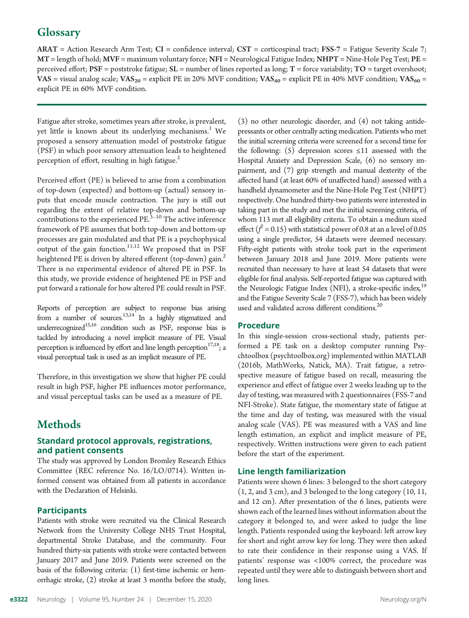# **Glossary**

 $ARAT = Action Research Arm Test; CI = confidence interval; CST = corticospinal tract; FSS-7 = Fatigue Severity Scale 7;$ MT = length of hold; MVF = maximum voluntary force; NFI = Neurological Fatigue Index; NHPT = Nine-Hole Peg Test; PE = perceived effort;  $PSF$  = poststroke fatigue;  $SL$  = number of lines reported as long;  $T$  = force variability;  $TO$  = target overshoot; VAS = visual analog scale;  $VAS_{20}$  = explicit PE in 20% MVF condition;  $VAS_{40}$  = explicit PE in 40% MVF condition;  $VAS_{60}$  = explicit PE in 60% MVF condition.

Fatigue after stroke, sometimes years after stroke, is prevalent, yet little is known about its underlying mechanisms.<sup>1</sup> We proposed a sensory attenuation model of poststroke fatigue (PSF) in which poor sensory attenuation leads to heightened perception of effort, resulting in high fatigue. $<sup>2</sup>$ </sup>

Perceived effort (PE) is believed to arise from a combination of top-down (expected) and bottom-up (actual) sensory inputs that encode muscle contraction. The jury is still out regarding the extent of relative top-down and bottom-up contributions to the experienced  $PE<sup>3-10</sup>$ . The active inference framework of PE assumes that both top-down and bottom-up processes are gain modulated and that PE is a psychophysical output of the gain function. $11,12$  We proposed that in PSF heightened PE is driven by altered efferent (top-down) gain.<sup>2</sup> There is no experimental evidence of altered PE in PSF. In this study, we provide evidence of heightened PE in PSF and put forward a rationale for how altered PE could result in PSF.

Reports of perception are subject to response bias arising from a number of sources.<sup>13,14</sup> In a highly stigmatized and underrecognized<sup>15,16</sup> condition such as PSF, response bias is tackled by introducing a novel implicit measure of PE. Visual perception is influenced by effort and line length perception<sup>17,18</sup>; a visual perceptual task is used as an implicit measure of PE.

Therefore, in this investigation we show that higher PE could result in high PSF, higher PE influences motor performance, and visual perceptual tasks can be used as a measure of PE.

# Methods

#### Standard protocol approvals, registrations, and patient consents

The study was approved by London Bromley Research Ethics Committee (REC reference No. 16/LO/0714). Written informed consent was obtained from all patients in accordance with the Declaration of Helsinki.

#### **Participants**

Patients with stroke were recruited via the Clinical Research Network from the University College NHS Trust Hospital, departmental Stroke Database, and the community. Four hundred thirty-six patients with stroke were contacted between January 2017 and June 2019. Patients were screened on the basis of the following criteria: (1) first-time ischemic or hemorrhagic stroke, (2) stroke at least 3 months before the study,

(3) no other neurologic disorder, and (4) not taking antidepressants or other centrally acting medication. Patients who met the initial screening criteria were screened for a second time for the following: (5) depression scores  $\leq 11$  assessed with the Hospital Anxiety and Depression Scale, (6) no sensory impairment, and (7) grip strength and manual dexterity of the affected hand (at least 60% of unaffected hand) assessed with a handheld dynamometer and the Nine-Hole Peg Test (NHPT) respectively. One hundred thirty-two patients were interested in taking part in the study and met the initial screening criteria, of whom 113 met all eligibility criteria. To obtain a medium sized effect ( $f^2$  = 0.15) with statistical power of 0.8 at an  $\alpha$  level of 0.05 using a single predictor, 54 datasets were deemed necessary. Fifty-eight patients with stroke took part in the experiment between January 2018 and June 2019. More patients were recruited than necessary to have at least 54 datasets that were eligible for final analysis. Self-reported fatigue was captured with the Neurologic Fatigue Index (NFI), a stroke-specific index,<sup>19</sup> and the Fatigue Severity Scale 7 (FSS-7), which has been widely used and validated across different conditions.<sup>20</sup>

#### Procedure

In this single-session cross-sectional study, patients performed a PE task on a desktop computer running Psychtoolbox [\(psychtoolbox.org\)](http://psychtoolbox.org) implemented within MATLAB (2016b, MathWorks, Natick, MA). Trait fatigue, a retrospective measure of fatigue based on recall, measuring the experience and effect of fatigue over 2 weeks leading up to the day of testing, was measured with 2 questionnaires (FSS-7 and NFI-Stroke). State fatigue, the momentary state of fatigue at the time and day of testing, was measured with the visual analog scale (VAS). PE was measured with a VAS and line length estimation, an explicit and implicit measure of PE, respectively. Written instructions were given to each patient before the start of the experiment.

#### Line length familiarization

Patients were shown 6 lines: 3 belonged to the short category (1, 2, and 3 cm), and 3 belonged to the long category (10, 11, and 12 cm). After presentation of the 6 lines, patients were shown each of the learned lines without information about the category it belonged to, and were asked to judge the line length. Patients responded using the keyboard: left arrow key for short and right arrow key for long. They were then asked to rate their confidence in their response using a VAS. If patients' response was <100% correct, the procedure was repeated until they were able to distinguish between short and long lines.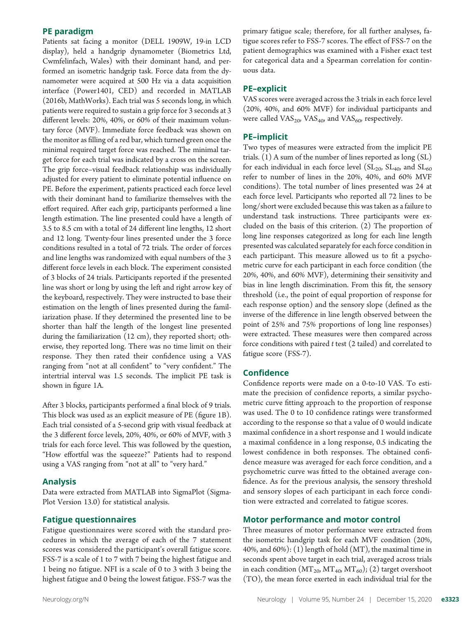#### PE paradigm

Patients sat facing a monitor (DELL 1909W, 19-in LCD display), held a handgrip dynamometer (Biometrics Ltd, Cwmfelinfach, Wales) with their dominant hand, and performed an isometric handgrip task. Force data from the dynamometer were acquired at 500 Hz via a data acquisition interface (Power1401, CED) and recorded in MATLAB (2016b, MathWorks). Each trial was 5 seconds long, in which patients were required to sustain a grip force for 3 seconds at 3 different levels: 20%, 40%, or 60% of their maximum voluntary force (MVF). Immediate force feedback was shown on the monitor as filling of a red bar, which turned green once the minimal required target force was reached. The minimal target force for each trial was indicated by a cross on the screen. The grip force–visual feedback relationship was individually adjusted for every patient to eliminate potential influence on PE. Before the experiment, patients practiced each force level with their dominant hand to familiarize themselves with the effort required. After each grip, participants performed a line length estimation. The line presented could have a length of 3.5 to 8.5 cm with a total of 24 different line lengths, 12 short and 12 long. Twenty-four lines presented under the 3 force conditions resulted in a total of 72 trials. The order of forces and line lengths was randomized with equal numbers of the 3 different force levels in each block. The experiment consisted of 3 blocks of 24 trials. Participants reported if the presented line was short or long by using the left and right arrow key of the keyboard, respectively. They were instructed to base their estimation on the length of lines presented during the familiarization phase. If they determined the presented line to be shorter than half the length of the longest line presented during the familiarization (12 cm), they reported short; otherwise, they reported long. There was no time limit on their response. They then rated their confidence using a VAS ranging from "not at all confident" to "very confident." The intertrial interval was 1.5 seconds. The implicit PE task is shown in figure 1A.

After 3 blocks, participants performed a final block of 9 trials. This block was used as an explicit measure of PE (figure 1B). Each trial consisted of a 5-second grip with visual feedback at the 3 different force levels, 20%, 40%, or 60% of MVF, with 3 trials for each force level. This was followed by the question, "How effortful was the squeeze?" Patients had to respond using a VAS ranging from "not at all" to "very hard."

#### Analysis

Data were extracted from MATLAB into SigmaPlot (Sigma-Plot Version 13.0) for statistical analysis.

#### Fatigue questionnaires

Fatigue questionnaires were scored with the standard procedures in which the average of each of the 7 statement scores was considered the participant's overall fatigue score. FSS-7 is a scale of 1 to 7 with 7 being the highest fatigue and 1 being no fatigue. NFI is a scale of 0 to 3 with 3 being the highest fatigue and 0 being the lowest fatigue. FSS-7 was the

primary fatigue scale; therefore, for all further analyses, fatigue scores refer to FSS-7 scores. The effect of FSS-7 on the patient demographics was examined with a Fisher exact test for categorical data and a Spearman correlation for continuous data.

#### PE–explicit

VAS scores were averaged across the 3 trials in each force level (20%, 40%, and 60% MVF) for individual participants and were called  $VAS_{20}$ ,  $VAS_{40}$ , and  $VAS_{60}$ , respectively.

#### PE–implicit

Two types of measures were extracted from the implicit PE trials. (1) A sum of the number of lines reported as long (SL) for each individual in each force level  $(SL_{20}, SL_{40}, and SL_{60})$ refer to number of lines in the 20%, 40%, and 60% MVF conditions). The total number of lines presented was 24 at each force level. Participants who reported all 72 lines to be long/short were excluded because this was taken as a failure to understand task instructions. Three participants were excluded on the basis of this criterion. (2) The proportion of long line responses categorized as long for each line length presented was calculated separately for each force condition in each participant. This measure allowed us to fit a psychometric curve for each participant in each force condition (the 20%, 40%, and 60% MVF), determining their sensitivity and bias in line length discrimination. From this fit, the sensory threshold (i.e., the point of equal proportion of response for each response option) and the sensory slope (defined as the inverse of the difference in line length observed between the point of 25% and 75% proportions of long line responses) were extracted. These measures were then compared across force conditions with paired  $t$  test  $(2 \text{ tailed})$  and correlated to fatigue score (FSS-7).

#### Confidence

Confidence reports were made on a 0-to-10 VAS. To estimate the precision of confidence reports, a similar psychometric curve fitting approach to the proportion of response was used. The 0 to 10 confidence ratings were transformed according to the response so that a value of 0 would indicate maximal confidence in a short response and 1 would indicate a maximal confidence in a long response, 0.5 indicating the lowest confidence in both responses. The obtained confidence measure was averaged for each force condition, and a psychometric curve was fitted to the obtained average confidence. As for the previous analysis, the sensory threshold and sensory slopes of each participant in each force condition were extracted and correlated to fatigue scores.

#### Motor performance and motor control

Three measures of motor performance were extracted from the isometric handgrip task for each MVF condition (20%, 40%, and 60%): (1) length of hold (MT), the maximal time in seconds spent above target in each trial, averaged across trials in each condition  $(MT_{20}$ ,  $MT_{40}$ ,  $MT_{60}$ ); (2) target overshoot (TO), the mean force exerted in each individual trial for the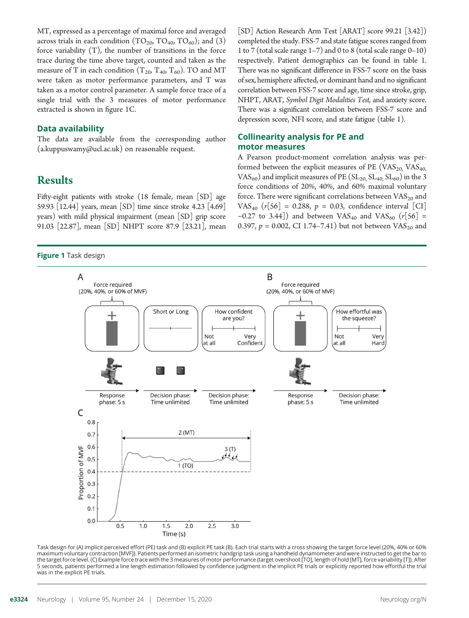MT, expressed as a percentage of maximal force and averaged across trials in each condition  $(TO_{20}$ ,  $TO_{40}$ ,  $TO_{60})$ ; and (3) force variability (T), the number of transitions in the force trace during the time above target, counted and taken as the measure of T in each condition  $(T_{20}, T_{40}, T_{60})$ . TO and MT were taken as motor performance parameters, and T was taken as a motor control parameter. A sample force trace of a single trial with the 3 measures of motor performance extracted is shown in figure 1C.

#### Data availability

The data are available from the corresponding author [\(a.kuppuswamy@ucl.ac.uk](mailto:a.kuppuswamy@ucl.ac.uk)) on reasonable request.

# Results

Fifty-eight patients with stroke (18 female, mean [SD] age 59.93 [12.44] years, mean [SD] time since stroke 4.23 [4.69] years) with mild physical impairment (mean [SD] grip score 91.03 [22.87], mean [SD] NHPT score 87.9 [23.21], mean

#### **Figure 1 Task design**

[SD] Action Research Arm Test [ARAT] score 99.21 [3.42]) completed the study. FSS-7 and state fatigue scores ranged from 1 to 7 (total scale range 1–7) and 0 to 8 (total scale range 0–10) respectively. Patient demographics can be found in table 1. There was no significant difference in FSS-7 score on the basis of sex, hemisphere affected, or dominant hand and no significant correlation between FSS-7 score and age, time since stroke, grip, NHPT, ARAT, Symbol Digit Modalities Test, and anxiety score. There was a significant correlation between FSS-7 score and depression score, NFI score, and state fatigue (table 1).

#### Collinearity analysis for PE and motor measures

A Pearson product-moment correlation analysis was performed between the explicit measures of PE ( $VAS_{20}$ ,  $VAS_{40}$ , VAS<sub>60</sub>) and implicit measures of PE ( $SL_{20}$ ,  $SL_{40}$ ,  $SL_{60}$ ) in the 3 force conditions of 20%, 40%, and 60% maximal voluntary force. There were significant correlations between  $\mathrm{VAS}_{20}$  and VAS<sub>40</sub> ( $r[56] = 0.288$ ,  $p = 0.03$ , confidence interval [CI] −0.27 to 3.44]) and between VAS<sub>40</sub> and VAS<sub>60</sub> ( $r[56]$  = 0.397,  $p = 0.002$ , CI 1.74–7.41) but not between VAS<sub>20</sub> and



maximum voluntary contraction [MVF]). Patients performed an isometric handgrip task using a handheld dynamometer and were instructed to get the bar to the target force level. (C) Example force trace with the 3 measures of motor performance (target overshoot [TO], length of hold [MT], force variability [T]). After 5 seconds, patients performed a line length estimation followed by confidence judgment in the implicit PE trials or explicitly reported how effortful the trial was in the explicit PE trials.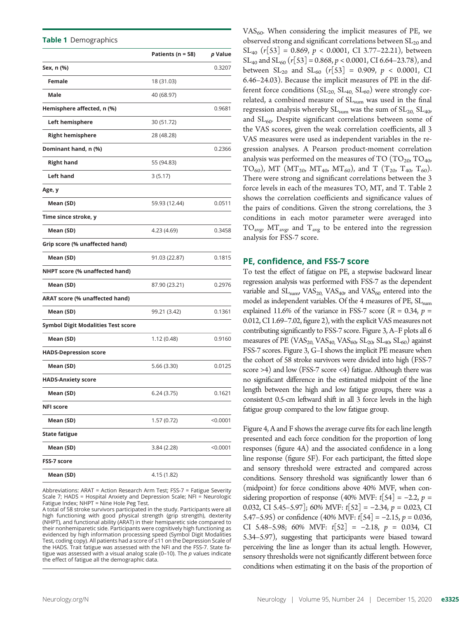Table 1 Demographics

|                                           | Patients ( $n = 58$ ) | p Value  |
|-------------------------------------------|-----------------------|----------|
| Sex, n (%)                                |                       | 0.3207   |
| Female                                    | 18 (31.03)            |          |
| Male                                      | 40 (68.97)            |          |
| Hemisphere affected, n (%)                |                       | 0.9681   |
|                                           |                       |          |
| Left hemisphere                           | 30 (51.72)            |          |
| <b>Right hemisphere</b>                   | 28 (48.28)            |          |
| Dominant hand, n (%)                      |                       | 0.2366   |
| <b>Right hand</b>                         | 55 (94.83)            |          |
| <b>Left hand</b>                          | 3(5.17)               |          |
| Age, y                                    |                       |          |
| Mean (SD)                                 | 59.93 (12.44)         | 0.0511   |
| Time since stroke, y                      |                       |          |
| Mean (SD)                                 | 4.23 (4.69)           | 0.3458   |
| Grip score (% unaffected hand)            |                       |          |
| Mean (SD)                                 | 91.03 (22.87)         | 0.1815   |
| NHPT score (% unaffected hand)            |                       |          |
| Mean (SD)                                 | 87.90 (23.21)         | 0.2976   |
| <b>ARAT score (% unaffected hand)</b>     |                       |          |
| Mean (SD)                                 | 99.21 (3.42)          | 0.1361   |
| <b>Symbol Digit Modalities Test score</b> |                       |          |
| Mean (SD)                                 | 1.12 (0.48)           | 0.9160   |
| <b>HADS-Depression score</b>              |                       |          |
| Mean (SD)                                 | 5.66(3.30)            | 0.0125   |
| <b>HADS-Anxiety score</b>                 |                       |          |
| Mean (SD)                                 | 6.24 (3.75)           | 0.1621   |
| <b>NFI score</b>                          |                       |          |
| Mean (SD)                                 | 1.57 (0.72)           | < 0.0001 |
| <b>State fatigue</b>                      |                       |          |
| Mean (SD)                                 | 3.84 (2.28)           | < 0.0001 |
| <b>FSS-7 score</b>                        |                       |          |
| Mean (SD)                                 | 4.15 (1.82)           |          |

Abbreviations: ARAT = Action Research Arm Test; FSS-7 = Fatigue Severity Scale 7; HADS = Hospital Anxiety and Depression Scale; NFI = Neurologic Fatigue Index; NHPT = Nine Hole Peg Test.

A total of 58 stroke survivors participated in the study. Participants were all high functioning with good physical strength (grip strength), dexterity (NHPT), and functional ability (ARAT) in their hemiparetic side compared to their nonhemiparetic side. Participants were cognitively high functioning as evidenced by high information processing speed (Symbol Digit Modalities Test, coding copy). All patients had a score of ≤11 on the Depression Scale of the HADS. Trait fatigue was assessed with the NFI and the FSS-7. State fatigue was assessed with a visual analog scale (0-10). The  $p$  values indicate the effect of fatigue all the demographic data.

 $VAS<sub>60</sub>$ . When considering the implicit measures of PE, we observed strong and significant correlations between  $SL_{20}$  and  $SL_{40}$  (r[53] = 0.869, p < 0.0001, CI 3.77–22.21), between  $SL_{40}$  and  $SL_{60}$  (r[53] = 0.868, p < 0.0001, CI 6.64–23.78), and between  $SL_{20}$  and  $SL_{60}$  (r[53] = 0.909, p < 0.0001, CI 6.46–24.03). Because the implicit measures of PE in the different force conditions  $(SL_{20}$ ,  $SL_{40}$ ,  $SL_{60}$ ) were strongly correlated, a combined measure of  $SL_{sum}$  was used in the final regression analysis whereby  $SL_{sum}$  was the sum of  $SL_{20}$ ,  $SL_{40}$ , and  $SL_{60}$ . Despite significant correlations between some of the VAS scores, given the weak correlation coefficients, all 3 VAS measures were used as independent variables in the regression analyses. A Pearson product-moment correlation analysis was performed on the measures of TO  $(TO<sub>20</sub>, TO<sub>40</sub>)$ TO<sub>60</sub>), MT (MT<sub>20</sub>, MT<sub>40</sub>, MT<sub>60</sub>), and T (T<sub>20</sub>, T<sub>40</sub>, T<sub>60</sub>). There were strong and significant correlations between the 3 force levels in each of the measures TO, MT, and T. Table 2 shows the correlation coefficients and significance values of the pairs of conditions. Given the strong correlations, the 3 conditions in each motor parameter were averaged into  $TO_{\text{avg}}$   $MT_{\text{avg}}$  and  $T_{\text{avg}}$  to be entered into the regression analysis for FSS-7 score.

#### PE, confidence, and FSS-7 score

To test the effect of fatigue on PE, a stepwise backward linear regression analysis was performed with FSS-7 as the dependent variable and  $SL_{\text{sum}}$ , VAS<sub>20</sub>, VAS<sub>40</sub>, and VAS<sub>60</sub> entered into the model as independent variables. Of the 4 measures of PE, SL<sub>sum</sub> explained 11.6% of the variance in FSS-7 score ( $R = 0.34$ ,  $p =$ 0.012, CI 1.69–7.02, figure 2), with the explicit VAS measures not contributing significantly to FSS-7 score. Figure 3, A–F plots all 6 measures of PE (VAS<sub>20,</sub> VAS<sub>40,</sub> VAS<sub>60</sub>, SL<sub>20</sub>, SL<sub>40</sub>, SL<sub>60</sub>) against FSS-7 scores. Figure 3, G–I shows the implicit PE measure when the cohort of 58 stroke survivors were divided into high (FSS-7 score >4) and low (FSS-7 score <4) fatigue. Although there was no significant difference in the estimated midpoint of the line length between the high and low fatigue groups, there was a consistent 0.5-cm leftward shift in all 3 force levels in the high fatigue group compared to the low fatigue group.

Figure 4, A and F shows the average curve fits for each line length presented and each force condition for the proportion of long responses (figure 4A) and the associated confidence in a long line response (figure 5F). For each participant, the fitted slope and sensory threshold were extracted and compared across conditions. Sensory threshold was significantly lower than 6 (midpoint) for force conditions above 40% MVF, when considering proportion of response (40% MVF:  $t[54] = -2.2$ ,  $p =$ 0.032, CI 5.45–5.97]; 60% MVF:  $t[52] = -2.34$ ,  $p = 0.023$ , CI 5.47–5.95) or confidence  $(40\% \text{ MVF: } t[54] = -2.15, p = 0.036,$ CI 5.48–5.98; 60% MVF:  $t[52] = -2.18$ ,  $p = 0.034$ , CI 5.34–5.97), suggesting that participants were biased toward perceiving the line as longer than its actual length. However, sensory thresholds were not significantly different between force conditions when estimating it on the basis of the proportion of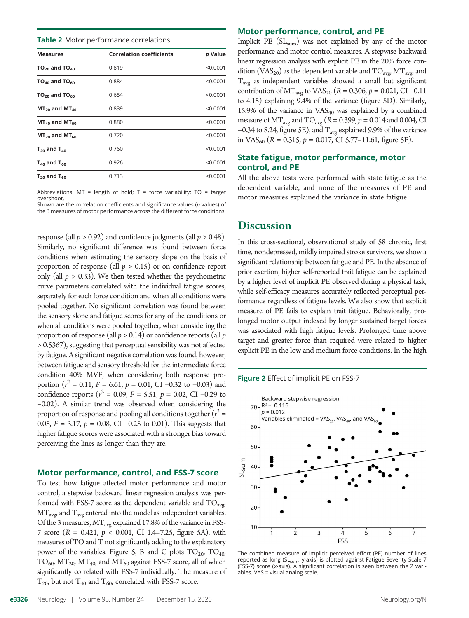**Table 2** Motor performance correlations

| <b>Correlation coefficients</b><br><b>Measures</b><br>$TO_{20}$ and $TO_{40}$<br>0.819<br>$TO_{40}$ and $TO_{60}$<br>0.884<br>$TO_{20}$ and $TO_{60}$<br>0.654<br>$MT_{20}$ and $MT_{40}$<br>0.839<br>$MT_{40}$ and $MT_{60}$<br>0.880<br>0.720<br>$MT_{20}$ and $MT_{60}$<br>0.760<br>$T_{20}$ and $T_{40}$<br>$T_{40}$ and $T_{60}$<br>0.926<br>0.713<br>$T_{20}$ and $T_{60}$ |  |          |
|----------------------------------------------------------------------------------------------------------------------------------------------------------------------------------------------------------------------------------------------------------------------------------------------------------------------------------------------------------------------------------|--|----------|
|                                                                                                                                                                                                                                                                                                                                                                                  |  | p Value  |
|                                                                                                                                                                                                                                                                                                                                                                                  |  | < 0.0001 |
|                                                                                                                                                                                                                                                                                                                                                                                  |  | < 0.0001 |
|                                                                                                                                                                                                                                                                                                                                                                                  |  | < 0.0001 |
|                                                                                                                                                                                                                                                                                                                                                                                  |  | < 0.0001 |
|                                                                                                                                                                                                                                                                                                                                                                                  |  | < 0.0001 |
|                                                                                                                                                                                                                                                                                                                                                                                  |  | < 0.0001 |
|                                                                                                                                                                                                                                                                                                                                                                                  |  | < 0.0001 |
|                                                                                                                                                                                                                                                                                                                                                                                  |  | < 0.0001 |
|                                                                                                                                                                                                                                                                                                                                                                                  |  | < 0.0001 |

Abbreviations:  $MT = length of hold; T = force variability; TO = target$ overshoot.

Shown are the correlation coefficients and significance values (p values) of the 3 measures of motor performance across the different force conditions.

response (all  $p > 0.92$ ) and confidence judgments (all  $p > 0.48$ ). Similarly, no significant difference was found between force conditions when estimating the sensory slope on the basis of proportion of response (all  $p > 0.15$ ) or on confidence report only (all  $p > 0.33$ ). We then tested whether the psychometric curve parameters correlated with the individual fatigue scores, separately for each force condition and when all conditions were pooled together. No significant correlation was found between the sensory slope and fatigue scores for any of the conditions or when all conditions were pooled together, when considering the proportion of response (all  $p > 0.14$ ) or confidence reports (all  $p$ > 0.5367), suggesting that perceptual sensibility was not affected by fatigue. A significant negative correlation was found, however, between fatigue and sensory threshold for the intermediate force condition 40% MVF, when considering both response proportion ( $r^2 = 0.11$ ,  $F = 6.61$ ,  $p = 0.01$ , CI –0.32 to –0.03) and confidence reports ( $r^2$  = 0.09, F = 5.51, p = 0.02, CI −0.29 to −0.02). A similar trend was observed when considering the proportion of response and pooling all conditions together  $(r^2 =$ 0.05,  $F = 3.17$ ,  $p = 0.08$ , CI -0.25 to 0.01). This suggests that higher fatigue scores were associated with a stronger bias toward perceiving the lines as longer than they are.

#### Motor performance, control, and FSS-7 score

To test how fatigue affected motor performance and motor control, a stepwise backward linear regression analysis was performed with FSS-7 score as the dependent variable and  $TO_{\text{avg}}$  $MT_{\text{avg}}$  and  $T_{\text{avg}}$  entered into the model as independent variables. Of the 3 measures,  $MT_{avg}$  explained 17.8% of the variance in FSS-7 score  $(R = 0.421, p < 0.001, CI 1.4–7.25, figure 5A)$ , with measures of TO and T not significantly adding to the explanatory power of the variables. Figure 5, B and C plots  $TO_{20}$ ,  $TO_{40}$ ,  $TO<sub>60</sub>, MT<sub>20</sub>, MT<sub>40</sub>, and MT<sub>60</sub> against FSS-7 score, all of which$ significantly correlated with FSS-7 individually. The measure of  $T_{20}$ , but not  $T_{40}$  and  $T_{60}$ , correlated with FSS-7 score.

#### Motor performance, control, and PE

Implicit PE  $(SL<sub>sum</sub>)$  was not explained by any of the motor performance and motor control measures. A stepwise backward linear regression analysis with explicit PE in the 20% force condition (VAS<sub>20</sub>) as the dependent variable and  $TO_{avg}$  MT<sub>avg</sub>, and Tavg as independent variables showed a small but significant contribution of  $MT_{avg}$  to VAS<sub>20</sub> (R = 0.306, p = 0.021, CI –0.11 to 4.15) explaining 9.4% of the variance (figure 5D). Similarly, 15.9% of the variance in  $VAS_{40}$  was explained by a combined measure of  $MT_{avg}$  and  $TO_{avg}$  ( $R = 0.399$ ,  $p = 0.014$  and 0.004, CI −0.34 to 8.24, figure 5E), and Tavg explained 9.9% of the variance in VAS<sub>60</sub> ( $R = 0.315$ ,  $p = 0.017$ , CI 5.77–11.61, figure 5F).

#### State fatigue, motor performance, motor control, and PE

All the above tests were performed with state fatigue as the dependent variable, and none of the measures of PE and motor measures explained the variance in state fatigue.

## **Discussion**

In this cross-sectional, observational study of 58 chronic, first time, nondepressed, mildly impaired stroke survivors, we show a significant relationship between fatigue and PE. In the absence of prior exertion, higher self-reported trait fatigue can be explained by a higher level of implicit PE observed during a physical task, while self-efficacy measures accurately reflected perceptual performance regardless of fatigue levels. We also show that explicit measure of PE fails to explain trait fatigue. Behaviorally, prolonged motor output indexed by longer sustained target forces was associated with high fatigue levels. Prolonged time above target and greater force than required were related to higher explicit PE in the low and medium force conditions. In the high

Figure 2 Effect of implicit PE on FSS-7



The combined measure of implicit perceived effort (PE) number of lines reported as long (SL<sub>sum</sub>; y-axis) is plotted against Fatigue Severity Scale 7 (FSS-7) score (x-axis). A significant correlation is seen between the 2 variables. VAS = visual analog scale.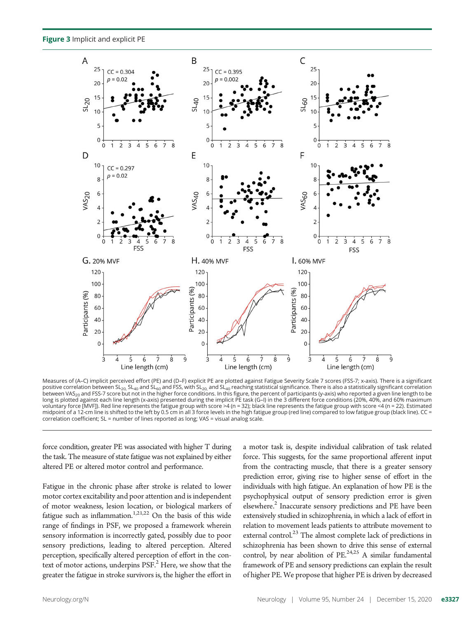Figure 3 Implicit and explicit PE



Measures of (A–C) implicit perceived effort (PE) and (D–F) explicit PE are plotted against Fatigue Severity Scale 7 scores (FSS-7; x-axis). There is a significant positive correlation between SL<sub>20,</sub> SL<sub>40</sub> and SL<sub>60</sub> and FSS, with SL<sub>20,</sub> and SL<sub>40</sub> reaching statistical significance. There is also a statistically significant correlation between VAS<sub>20</sub> and FSS-7 score but not in the higher force conditions. In this figure, the percent of participants (y-axis) who reported a given line length to be long is plotted against each line length (x-axis) presented during the implicit PE task (G-I) in the 3 different force conditions (20%, 40%, and 60% maximum voluntary force [MVF]). Red line represents the fatigue group with score >4 (n = 32); black line represents the fatigue group with score <4 (n = 22). Estimated midpoint of a 12-cm line is shifted to the left by 0.5 cm in all 3 force levels in the high fatigue group (red line) compared to low fatigue group (black line). CC = correlation coefficient; SL = number of lines reported as long; VAS = visual analog scale.

force condition, greater PE was associated with higher T during the task. The measure of state fatigue was not explained by either altered PE or altered motor control and performance.

Fatigue in the chronic phase after stroke is related to lower motor cortex excitability and poor attention and is independent of motor weakness, lesion location, or biological markers of fatigue such as inflammation. $1,21,22$  On the basis of this wide range of findings in PSF, we proposed a framework wherein sensory information is incorrectly gated, possibly due to poor sensory predictions, leading to altered perception. Altered perception, specifically altered perception of effort in the context of motor actions, underpins PSF.<sup>2</sup> Here, we show that the greater the fatigue in stroke survivors is, the higher the effort in

a motor task is, despite individual calibration of task related force. This suggests, for the same proportional afferent input from the contracting muscle, that there is a greater sensory prediction error, giving rise to higher sense of effort in the individuals with high fatigue. An explanation of how PE is the psychophysical output of sensory prediction error is given elsewhere.<sup>2</sup> Inaccurate sensory predictions and PE have been extensively studied in schizophrenia, in which a lack of effort in relation to movement leads patients to attribute movement to external control.<sup>23</sup> The almost complete lack of predictions in schizophrenia has been shown to drive this sense of external control, by near abolition of  $PE<sup>24,25</sup>$  A similar fundamental framework of PE and sensory predictions can explain the result of higher PE. We propose that higher PE is driven by decreased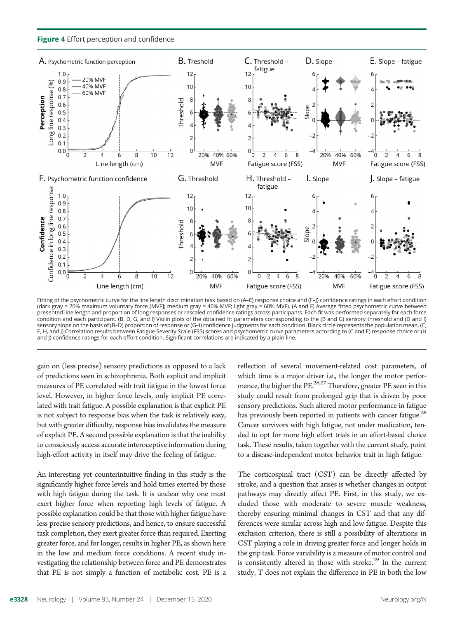Figure 4 Effort perception and confidence



Fitting of the psychometric curve for the line length discrimination task based on (A–E) response choice and (F–J) confidence ratings in each effort condition (dark gray = 20% maximum voluntary force [MVF]; medium gray = 40% MVF; light gray = 60% MVF). (A and F) Average fitted psychometric curve between presented line length and proportion of long responses or rescaled confidence ratings across participants. Each fit was performed separately for each force condition and each participant. (B, D, G, and I) Violin plots of the obtained fit parameters corresponding to the (B and G) sensory threshold and (D and I) sensory slope on the basis of (B–D) proportion of response or (G–I) confidence judgments for each condition. Black circle represents the population mean. (C, E, H, and J) Correlation results between Fatigue Severity Scale (FSS) scores and psychometric curve parameters according to (C and E) response choice or (H and J) confidence ratings for each effort condition. Significant correlations are indicated by a plain line.

gain on (less precise) sensory predictions as opposed to a lack of predictions seen in schizophrenia. Both explicit and implicit measures of PE correlated with trait fatigue in the lowest force level. However, in higher force levels, only implicit PE correlated with trait fatigue. A possible explanation is that explicit PE is not subject to response bias when the task is relatively easy, but with greater difficulty, response bias invalidates the measure of explicit PE. A second possible explanation is that the inability to consciously access accurate interoceptive information during high-effort activity in itself may drive the feeling of fatigue.

An interesting yet counterintuitive finding in this study is the significantly higher force levels and hold times exerted by those with high fatigue during the task. It is unclear why one must exert higher force when reporting high levels of fatigue. A possible explanation could be that those with higher fatigue have less precise sensory predictions, and hence, to ensure successful task completion, they exert greater force than required. Exerting greater force, and for longer, results in higher PE, as shown here in the low and medium force conditions. A recent study investigating the relationship between force and PE demonstrates that PE is not simply a function of metabolic cost. PE is a

reflection of several movement-related cost parameters, of which time is a major driver i.e., the longer the motor performance, the higher the PE.<sup>26,27</sup> Therefore, greater PE seen in this study could result from prolonged grip that is driven by poor sensory predictions. Such altered motor performance in fatigue has previously been reported in patients with cancer fatigue.<sup>28</sup> Cancer survivors with high fatigue, not under medication, tended to opt for more high effort trials in an effort-based choice task. These results, taken together with the current study, point to a disease-independent motor behavior trait in high fatigue.

The corticospinal tract (CST) can be directly affected by stroke, and a question that arises is whether changes in output pathways may directly affect PE. First, in this study, we excluded those with moderate to severe muscle weakness, thereby ensuring minimal changes in CST and that any differences were similar across high and low fatigue. Despite this exclusion criterion, there is still a possibility of alterations in CST playing a role in driving greater force and longer holds in the grip task. Force variability is a measure of motor control and is consistently altered in those with stroke. $29$  In the current study, T does not explain the difference in PE in both the low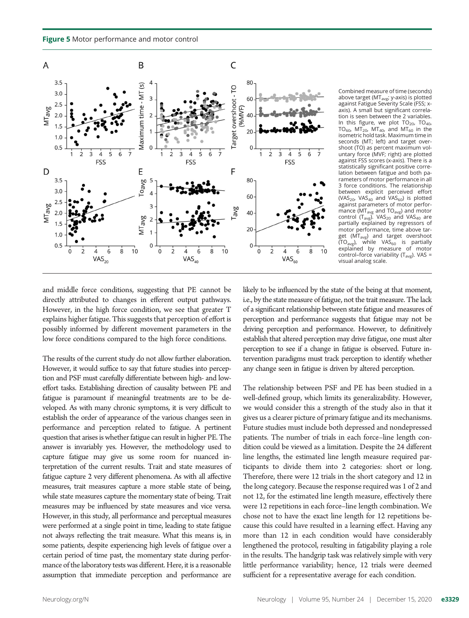Figure 5 Motor performance and motor control



Combined measure of time (seconds) above target (MT<sub>avg</sub>, y-axis) is plotted against Fatigue Severity Scale (FSS; xaxis). A small but significant correlation is seen between the 2 variables. In this figure, we plot  $TO_{20}$ ,  $TO_{40}$ , TO<sub>60</sub>, MT<sub>20</sub>, MT<sub>40</sub>, and MT<sub>60</sub> in the isometric hold task. Maximum time in seconds (MT; left) and target overshoot (TO) as percent maximum voluntary force (MVF; right) are plotted against FSS scores (x-axis). There is a statistically significant positive correlation between fatigue and both parameters of motor performance in all 3 force conditions. The relationship between explicit perceived effort<br>(VAS<sub>20</sub>, VAS<sub>40</sub> and VAS<sub>60</sub>) is plotted against parameters of motor performance (MT<sub>avg</sub> and TO<sub>avg</sub>) and motor<br>control (T<sub>avg</sub>). VAS<sub>20</sub> and VAS<sub>40</sub> are partially explained by regressors of motor performance, time above target ( $\dot{MT}_{avg}$ ) and target overshoot  $(TO<sub>avg</sub>)$ , while VAS<sub>60</sub> is partially explained by measure of motor control–force variability  $(T_{avg})$ . VAS = visual analog scale.

and middle force conditions, suggesting that PE cannot be directly attributed to changes in efferent output pathways. However, in the high force condition, we see that greater T explains higher fatigue. This suggests that perception of effort is possibly informed by different movement parameters in the low force conditions compared to the high force conditions.

The results of the current study do not allow further elaboration. However, it would suffice to say that future studies into perception and PSF must carefully differentiate between high- and loweffort tasks. Establishing direction of causality between PE and fatigue is paramount if meaningful treatments are to be developed. As with many chronic symptoms, it is very difficult to establish the order of appearance of the various changes seen in performance and perception related to fatigue. A pertinent question that arises is whether fatigue can result in higher PE. The answer is invariably yes. However, the methodology used to capture fatigue may give us some room for nuanced interpretation of the current results. Trait and state measures of fatigue capture 2 very different phenomena. As with all affective measures, trait measures capture a more stable state of being, while state measures capture the momentary state of being. Trait measures may be influenced by state measures and vice versa. However, in this study, all performance and perceptual measures were performed at a single point in time, leading to state fatigue not always reflecting the trait measure. What this means is, in some patients, despite experiencing high levels of fatigue over a certain period of time past, the momentary state during performance of the laboratory tests was different. Here, it is a reasonable assumption that immediate perception and performance are

likely to be influenced by the state of the being at that moment, i.e., by the state measure of fatigue, not the trait measure. The lack of a significant relationship between state fatigue and measures of perception and performance suggests that fatigue may not be driving perception and performance. However, to definitively establish that altered perception may drive fatigue, one must alter perception to see if a change in fatigue is observed. Future intervention paradigms must track perception to identify whether any change seen in fatigue is driven by altered perception.

The relationship between PSF and PE has been studied in a well-defined group, which limits its generalizability. However, we would consider this a strength of the study also in that it gives us a clearer picture of primary fatigue and its mechanisms. Future studies must include both depressed and nondepressed patients. The number of trials in each force–line length condition could be viewed as a limitation. Despite the 24 different line lengths, the estimated line length measure required participants to divide them into 2 categories: short or long. Therefore, there were 12 trials in the short category and 12 in the long category. Because the response required was 1 of 2 and not 12, for the estimated line length measure, effectively there were 12 repetitions in each force–line length combination. We chose not to have the exact line length for 12 repetitions because this could have resulted in a learning effect. Having any more than 12 in each condition would have considerably lengthened the protocol, resulting in fatigability playing a role in the results. The handgrip task was relatively simple with very little performance variability; hence, 12 trials were deemed sufficient for a representative average for each condition.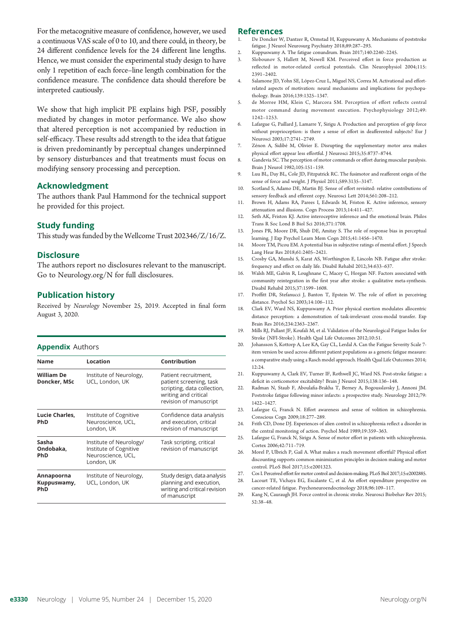For the metacognitive measure of confidence, however, we used a continuous VAS scale of 0 to 10, and there could, in theory, be 24 different confidence levels for the 24 different line lengths. Hence, we must consider the experimental study design to have only 1 repetition of each force–line length combination for the confidence measure. The confidence data should therefore be interpreted cautiously.

We show that high implicit PE explains high PSF, possibly mediated by changes in motor performance. We also show that altered perception is not accompanied by reduction in self-efficacy. These results add strength to the idea that fatigue is driven predominantly by perceptual changes underpinned by sensory disturbances and that treatments must focus on modifying sensory processing and perception.

#### Acknowledgment

The authors thank Paul Hammond for the technical support he provided for this project.

#### Study funding

This study was funded by the Wellcome Trust 202346/Z/16/Z.

#### **Disclosure**

The authors report no disclosures relevant to the manuscript. Go to [Neurology.org/N](https://n.neurology.org/lookup/doi/10.1212/WNL.0000000000010985) for full disclosures.

#### Publication history

Received by Neurology November 25, 2019. Accepted in final form August 3, 2020.

#### **Appendix Authors**

| Name                                    | Location                                                                              | Contribution                                                                                                                     |
|-----------------------------------------|---------------------------------------------------------------------------------------|----------------------------------------------------------------------------------------------------------------------------------|
| William De<br>Doncker, MSc              | Institute of Neurology,<br>UCL, London, UK                                            | Patient recruitment,<br>patient screening, task<br>scripting, data collection,<br>writing and critical<br>revision of manuscript |
| Lucie Charles,<br><b>PhD</b>            | Institute of Cognitive<br>Neuroscience, UCL,<br>London, UK                            | Confidence data analysis<br>and execution, critical<br>revision of manuscript                                                    |
| Sasha<br>Ondobaka,<br><b>PhD</b>        | Institute of Neurology/<br>Institute of Cognitive<br>Neuroscience, UCL,<br>London, UK | Task scripting, critical<br>revision of manuscript                                                                               |
| Annapoorna<br>Kuppuswamy,<br><b>PhD</b> | Institute of Neurology,<br>UCL, London, UK                                            | Study design, data analysis<br>planning and execution,<br>writing and critical revision<br>of manuscript                         |

#### References

- 1. De Doncker W, Dantzer R, Ormstad H, Kuppuswamy A. Mechanisms of poststroke fatigue. J Neurol Neurosurg Psychiatry 2018;89:287–293.
- 2. Kuppuswamy A. The fatigue conundrum. Brain 2017;140:2240–2245.
- 3. Slobounov S, Hallett M, Newell KM. Perceived effort in force production as reflected in motor-related cortical potentials. Clin Neurophysiol 2004;115: 2391–2402.
- 4. Salamone JD, Yohn SE, López-Cruz L, Miguel NS, Correa M. Activational and effortrelated aspects of motivation: neural mechanisms and implications for psychopathology. Brain 2016;139:1325–1347.
- 5. de Morree HM, Klein C, Marcora SM. Perception of effort reflects central motor command during movement execution. Psychophysiology 2012;49: 1242–1253.
- 6. Lafargue G, Paillard J, Lamarre Y, Sirigu A. Production and perception of grip force without proprioception: is there a sense of effort in deafferented subjects? Eur J Neurosci 2003;17:2741–2749.
- 7. Zénon A, Sidibé M, Olivier E. Disrupting the supplementary motor area makes physical effort appear less effortful. J Neurosci 2015;35:8737–8744.
- 8. Gandevia SC. The perception of motor commands or effort during muscular paralysis. Brain J Neurol 1982;105:151–159.
- 9. Luu BL, Day BL, Cole JD, Fitzpatrick RC. The fusimotor and reafferent origin of the sense of force and weight. J Physiol 2011;589:3135–3147.
- 10. Scotland S, Adamo DE, Martin BJ. Sense of effort revisited: relative contributions of sensory feedback and efferent copy. Neurosci Lett 2014;561:208–212.
- 11. Brown H, Adams RA, Parees I, Edwards M, Friston K. Active inference, sensory attenuation and illusions. Cogn Process 2013;14:411–427.
- 12. Seth AK, Friston KJ. Active interoceptive inference and the emotional brain. Philos Trans R Soc Lond B Biol Sci 2016;371:1708.
- 13. Jones PR, Moore DR, Shub DE, Amitay S. The role of response bias in perceptual learning. J Exp Psychol Learn Mem Cogn 2015;41:1456–1470.
- 14. Moore TM, Picou EM. A potential bias in subjective ratings of mental effort. J Speech Lang Hear Res 2018;61:2405–2421.
- 15. Crosby GA, Munshi S, Karat AS, Worthington E, Lincoln NB. Fatigue after stroke: frequency and effect on daily life. Disabil Rehabil 2012;34:633–637.
- 16. Walsh ME, Galvin R, Loughnane C, Macey C, Horgan NF. Factors associated with community reintegration in the first year after stroke: a qualitative meta-synthesis. Disabil Rehabil 2015;37:1599–1608.
- 17. Proffitt DR, Stefanucci J, Banton T, Epstein W. The role of effort in perceiving distance. Psychol Sci 2003;14:106–112.
- 18. Clark EV, Ward NS, Kuppuswamy A. Prior physical exertion modulates allocentric distance perception: a demonstration of task-irrelevant cross-modal transfer. Exp Brain Res 2016;234:2363–2367.
- 19. Mills RJ, Pallant JF, Koufali M, et al. Validation of the Neurological Fatigue Index for Stroke (NFI-Stroke). Health Qual Life Outcomes 2012;10:51.
- 20. Johansson S, Kottorp A, Lee KA, Gay CL, Lerdal A. Can the Fatigue Severity Scale 7 item version be used across different patient populations as a generic fatigue measure: a comparative study using a Rasch model approach. Health Qual Life Outcomes 2014; 12:24.
- 21. Kuppuswamy A, Clark EV, Turner IF, Rothwell JC, Ward NS. Post-stroke fatigue: a deficit in corticomotor excitability? Brain J Neurol 2015;138:136–148.
- 22. Radman N, Staub F, Aboulafia-Brakha T, Berney A, Bogousslavsky J, Annoni JM. Poststroke fatigue following minor infarcts: a prospective study. Neurology 2012;79: 1422–1427.
- 23. Lafargue G, Franck N. Effort awareness and sense of volition in schizophrenia. Conscious Cogn 2009;18:277–289.
- 24. Frith CD, Done DJ. Experiences of alien control in schizophrenia reflect a disorder in the central monitoring of action. Psychol Med 1989;19:359–363.
- 25. Lafargue G, Franck N, Sirigu A. Sense of motor effort in patients with schizophrenia. Cortex 2006;42:711–719.
- 26. Morel P, Ulbrich P, Gail A. What makes a reach movement effortful? Physical effort discounting supports common minimization principles in decision making and motor control. PLoS Biol 2017;15:e2001323.
- 27. Cos I. Perceived effort for motor control and decision-making. PLoS Biol 2017;15:e2002885. 28. Lacourt TE, Vichaya EG, Escalante C, et al. An effort expenditure perspective on
- cancer-related fatigue. Psychoneuroendocrinology 2018;96:109–117.
- 29. Kang N, Cauraugh JH. Force control in chronic stroke. Neurosci Biobehav Rev 2015; 52:38–48.